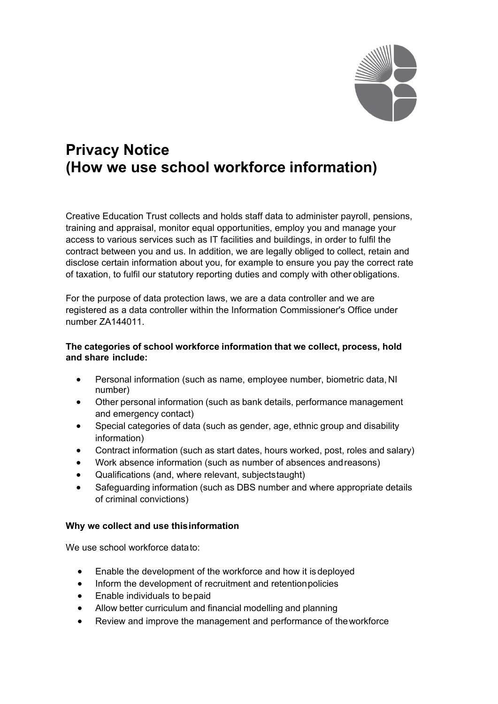

# **Privacy Notice (How we use school workforce information)**

Creative Education Trust collects and holds staff data to administer payroll, pensions, training and appraisal, monitor equal opportunities, employ you and manage your access to various services such as IT facilities and buildings, in order to fulfil the contract between you and us. In addition, we are legally obliged to collect, retain and disclose certain information about you, for example to ensure you pay the correct rate of taxation, to fulfil our statutory reporting duties and comply with other obligations.

For the purpose of data protection laws, we are a data controller and we are registered as a data controller within the Information Commissioner's Office under number ZA144011.

# **The categories of school workforce information that we collect, process, hold and share include:**

- Personal information (such as name, employee number, biometric data, NI number)
- Other personal information (such as bank details, performance management and emergency contact)
- Special categories of data (such as gender, age, ethnic group and disability information)
- Contract information (such as start dates, hours worked, post, roles and salary)
- Work absence information (such as number of absences andreasons)
- Qualifications (and, where relevant, subjectstaught)
- Safeguarding information (such as DBS number and where appropriate details of criminal convictions)

# **Why we collect and use thisinformation**

We use school workforce datato:

- Enable the development of the workforce and how it isdeployed
- Inform the development of recruitment and retentionpolicies
- Enable individuals to bepaid
- Allow better curriculum and financial modelling and planning
- Review and improve the management and performance of theworkforce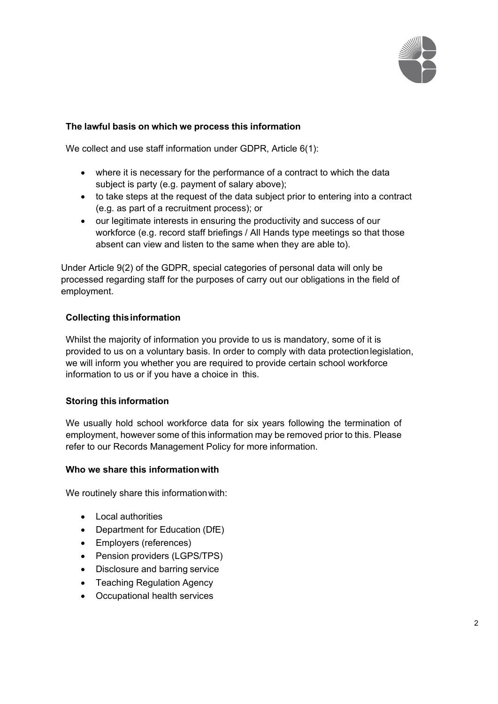

# **The lawful basis on which we process this information**

We collect and use staff information under GDPR, Article 6(1):

- where it is necessary for the performance of a contract to which the data subject is party (e.g. payment of salary above);
- to take steps at the request of the data subject prior to entering into a contract (e.g. as part of a recruitment process); or
- our legitimate interests in ensuring the productivity and success of our workforce (e.g. record staff briefings / All Hands type meetings so that those absent can view and listen to the same when they are able to).

Under Article 9(2) of the GDPR, special categories of personal data will only be processed regarding staff for the purposes of carry out our obligations in the field of employment.

# **Collecting thisinformation**

Whilst the majority of information you provide to us is mandatory, some of it is provided to us on a voluntary basis. In order to comply with data protectionlegislation, we will inform you whether you are required to provide certain school workforce information to us or if you have a choice in this.

#### **Storing this information**

We usually hold school workforce data for six years following the termination of employment, however some of this information may be removed prior to this. Please refer to our Records Management Policy for more information.

#### **Who we share this informationwith**

We routinely share this information with:

- Local authorities
- Department for Education (DfE)
- Employers (references)
- Pension providers (LGPS/TPS)
- Disclosure and barring service
- Teaching Regulation Agency
- Occupational health services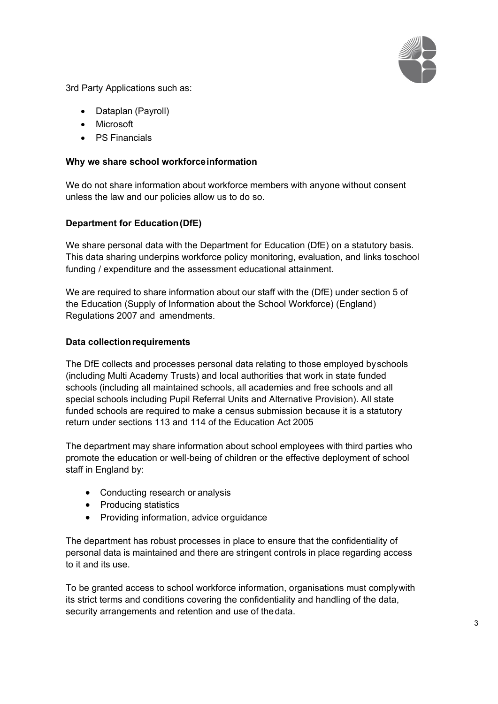

3rd Party Applications such as:

- Dataplan (Payroll)
- Microsoft
- PS Financials

## **Why we share school workforceinformation**

We do not share information about workforce members with anyone without consent unless the law and our policies allow us to do so.

# **Department for Education(DfE)**

We share personal data with the Department for Education (DfE) on a statutory basis. This data sharing underpins workforce policy monitoring, evaluation, and links toschool funding / expenditure and the assessment educational attainment.

We are required to share information about our staff with the (DfE) under section 5 of the Education (Supply of Information about the School Workforce) (England) Regulations 2007 and amendments.

### **Data collectionrequirements**

The DfE collects and processes personal data relating to those employed byschools (including Multi Academy Trusts) and local authorities that work in state funded schools (including all maintained schools, all academies and free schools and all special schools including Pupil Referral Units and Alternative Provision). All state funded schools are required to make a census submission because it is a statutory return under sections 113 and 114 of the Education Act 2005

The department may share information about school employees with third parties who promote the education or well‐being of children or the effective deployment of school staff in England by:

- Conducting research or analysis
- Producing statistics
- Providing information, advice orguidance

The department has robust processes in place to ensure that the confidentiality of personal data is maintained and there are stringent controls in place regarding access to it and its use.

To be granted access to school workforce information, organisations must complywith its strict terms and conditions covering the confidentiality and handling of the data, security arrangements and retention and use of thedata.